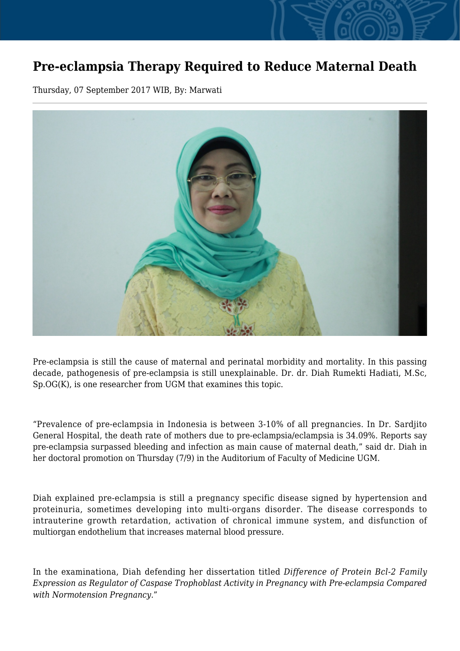## **Pre-eclampsia Therapy Required to Reduce Maternal Death**

Thursday, 07 September 2017 WIB, By: Marwati



Pre-eclampsia is still the cause of maternal and perinatal morbidity and mortality. In this passing decade, pathogenesis of pre-eclampsia is still unexplainable. Dr. dr. Diah Rumekti Hadiati, M.Sc, Sp.OG(K), is one researcher from UGM that examines this topic.

"Prevalence of pre-eclampsia in Indonesia is between 3-10% of all pregnancies. In Dr. Sardjito General Hospital, the death rate of mothers due to pre-eclampsia/eclampsia is 34.09%. Reports say pre-eclampsia surpassed bleeding and infection as main cause of maternal death," said dr. Diah in her doctoral promotion on Thursday (7/9) in the Auditorium of Faculty of Medicine UGM.

Diah explained pre-eclampsia is still a pregnancy specific disease signed by hypertension and proteinuria, sometimes developing into multi-organs disorder. The disease corresponds to intrauterine growth retardation, activation of chronical immune system, and disfunction of multiorgan endothelium that increases maternal blood pressure.

In the examinationa, Diah defending her dissertation titled *Difference of Protein Bcl-2 Family Expression as Regulator of Caspase Trophoblast Activity in Pregnancy with Pre-eclampsia Compared with Normotension Pregnancy*."